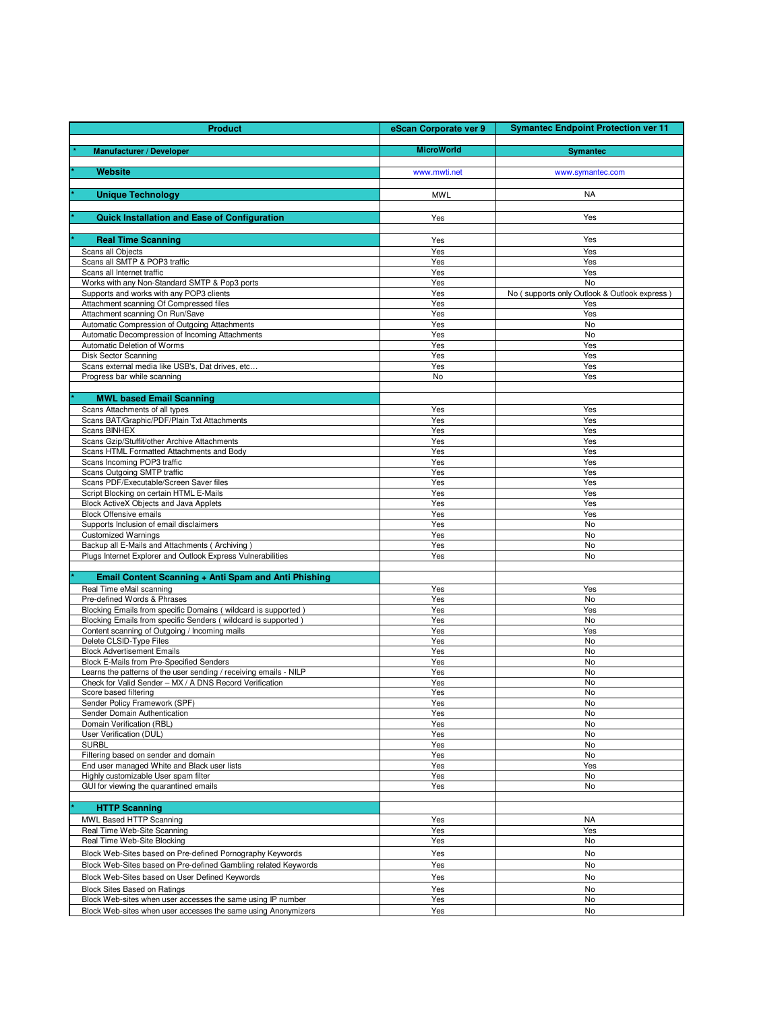| <b>Product</b>                                                                                                                 | eScan Corporate ver 9 | <b>Symantec Endpoint Protection ver 11</b>  |
|--------------------------------------------------------------------------------------------------------------------------------|-----------------------|---------------------------------------------|
| <b>Manufacturer / Developer</b>                                                                                                | <b>MicroWorld</b>     | <b>Symantec</b>                             |
|                                                                                                                                |                       |                                             |
| <b>Website</b>                                                                                                                 | www.mwti.net          | www.symantec.com                            |
| <b>Unique Technology</b>                                                                                                       | <b>MWL</b>            | <b>NA</b>                                   |
|                                                                                                                                |                       |                                             |
| <b>Quick Installation and Ease of Configuration</b>                                                                            | Yes                   | Yes                                         |
| <b>Real Time Scanning</b>                                                                                                      | Yes                   | Yes                                         |
| Scans all Objects                                                                                                              | Yes                   | Yes                                         |
| Scans all SMTP & POP3 traffic                                                                                                  | Yes                   | Yes                                         |
| Scans all Internet traffic<br>Works with any Non-Standard SMTP & Pop3 ports                                                    | Yes<br>Yes            | Yes<br>No                                   |
| Supports and works with any POP3 clients                                                                                       | Yes                   | No (supports only Outlook & Outlook express |
| Attachment scanning Of Compressed files                                                                                        | Yes                   | Yes                                         |
| Attachment scanning On Run/Save<br>Automatic Compression of Outgoing Attachments                                               | Yes<br>Yes            | Yes<br>No                                   |
| Automatic Decompression of Incoming Attachments                                                                                | Yes                   | <b>No</b>                                   |
| Automatic Deletion of Worms                                                                                                    | Yes                   | Yes                                         |
| Disk Sector Scanning<br>Scans external media like USB's, Dat drives, etc                                                       | Yes<br>Yes            | Yes<br>Yes                                  |
| Progress bar while scanning                                                                                                    | No                    | Yes                                         |
|                                                                                                                                |                       |                                             |
| <b>MWL based Email Scanning</b><br>Scans Attachments of all types                                                              | Yes                   | Yes                                         |
| Scans BAT/Graphic/PDF/Plain Txt Attachments                                                                                    | Yes                   | Yes                                         |
| Scans BINHEX                                                                                                                   | Yes                   | Yes                                         |
| Scans Gzip/Stuffit/other Archive Attachments<br>Scans HTML Formatted Attachments and Body                                      | Yes<br>Yes            | Yes<br>Yes                                  |
| Scans Incoming POP3 traffic                                                                                                    | Yes                   | Yes                                         |
| Scans Outgoing SMTP traffic                                                                                                    | Yes                   | Yes                                         |
| Scans PDF/Executable/Screen Saver files<br>Script Blocking on certain HTML E-Mails                                             | Yes<br>Yes            | Yes<br>Yes                                  |
| Block ActiveX Objects and Java Applets                                                                                         | Yes                   | Yes                                         |
| <b>Block Offensive emails</b>                                                                                                  | Yes                   | Yes                                         |
| Supports Inclusion of email disclaimers<br><b>Customized Warnings</b>                                                          | Yes<br>Yes            | No<br>No                                    |
| Backup all E-Mails and Attachments (Archiving)                                                                                 | Yes                   | No                                          |
| Plugs Internet Explorer and Outlook Express Vulnerabilities                                                                    | Yes                   | No                                          |
| Email Content Scanning + Anti Spam and Anti Phishing                                                                           |                       |                                             |
| Real Time eMail scanning                                                                                                       | Yes                   | Yes                                         |
| Pre-defined Words & Phrases                                                                                                    | Yes                   | No                                          |
| Blocking Emails from specific Domains (wildcard is supported)<br>Blocking Emails from specific Senders (wildcard is supported) | Yes<br>Yes            | Yes<br>No                                   |
| Content scanning of Outgoing / Incoming mails                                                                                  | Yes                   | Yes                                         |
| Delete CLSID-Type Files                                                                                                        | Yes                   | No                                          |
| <b>Block Advertisement Emails</b><br>Block E-Mails from Pre-Specified Senders                                                  | Yes<br>Yes            | No<br>No                                    |
| Learns the patterns of the user sending / receiving emails - NILP                                                              | Yes                   | No                                          |
| Check for Valid Sender - MX / A DNS Record Verification<br>Score based filtering                                               | Yes<br>Yes            | No<br>No                                    |
| Sender Policy Framework (SPF)                                                                                                  | Yes                   | No                                          |
| Sender Domain Authentication                                                                                                   | Yes                   | No                                          |
| Domain Verification (RBL)<br>User Verification (DUL)                                                                           | Yes<br>Yes            | No<br>No                                    |
| <b>SURBL</b>                                                                                                                   | Yes                   | No                                          |
| Filtering based on sender and domain                                                                                           | Yes                   | No                                          |
| End user managed White and Black user lists<br>Highly customizable User spam filter                                            | Yes<br>Yes            | Yes<br>No                                   |
| GUI for viewing the quarantined emails                                                                                         | Yes                   | No                                          |
|                                                                                                                                |                       |                                             |
| <b>HTTP Scanning</b>                                                                                                           |                       |                                             |
| MWL Based HTTP Scanning<br>Real Time Web-Site Scanning                                                                         | Yes<br>Yes            | <b>NA</b><br>Yes                            |
| Real Time Web-Site Blocking                                                                                                    | Yes                   | No                                          |
| Block Web-Sites based on Pre-defined Pornography Keywords                                                                      | Yes                   | No                                          |
| Block Web-Sites based on Pre-defined Gambling related Keywords                                                                 | Yes                   | No                                          |
| Block Web-Sites based on User Defined Keywords                                                                                 | Yes                   | No                                          |
| <b>Block Sites Based on Ratings</b><br>Block Web-sites when user accesses the same using IP number                             | Yes<br>Yes            | No<br>No                                    |
| Block Web-sites when user accesses the same using Anonymizers                                                                  | Yes                   | No                                          |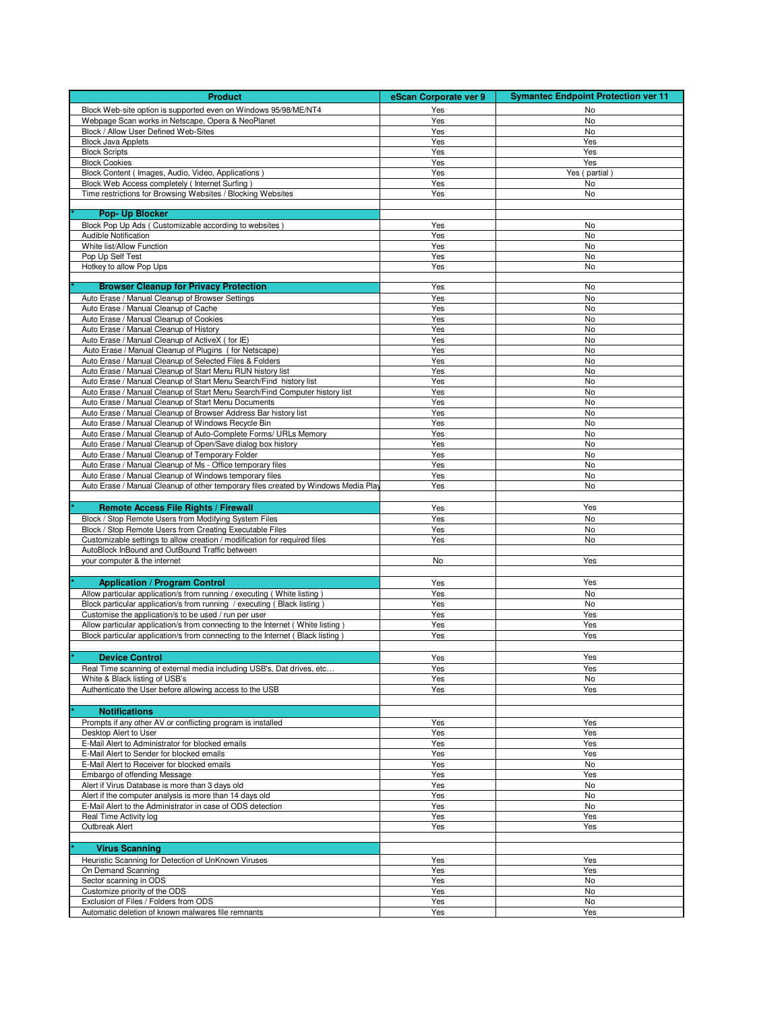| <b>Product</b>                                                                                                                                    | eScan Corporate ver 9 | <b>Symantec Endpoint Protection ver 11</b> |
|---------------------------------------------------------------------------------------------------------------------------------------------------|-----------------------|--------------------------------------------|
| Block Web-site option is supported even on Windows 95/98/ME/NT4                                                                                   | Yes                   | No                                         |
| Webpage Scan works in Netscape, Opera & NeoPlanet                                                                                                 | Yes                   | No                                         |
| Block / Allow User Defined Web-Sites                                                                                                              | Yes                   | No                                         |
| <b>Block Java Applets</b><br><b>Block Scripts</b>                                                                                                 | Yes<br>Yes            | Yes<br>Yes                                 |
| <b>Block Cookies</b>                                                                                                                              | Yes                   | Yes                                        |
| Block Content ( Images, Audio, Video, Applications )                                                                                              | Yes                   | Yes (partial)                              |
| Block Web Access completely (Internet Surfing)                                                                                                    | Yes                   | No                                         |
| Time restrictions for Browsing Websites / Blocking Websites                                                                                       | Yes                   | No                                         |
| Pop- Up Blocker                                                                                                                                   |                       |                                            |
| Block Pop Up Ads (Customizable according to websites)                                                                                             | Yes                   | No                                         |
| <b>Audible Notification</b>                                                                                                                       | Yes                   | No                                         |
| White list/Allow Function                                                                                                                         | Yes                   | No                                         |
| Pop Up Self Test<br>Hotkey to allow Pop Ups                                                                                                       | Yes<br>Yes            | No<br>No                                   |
|                                                                                                                                                   |                       |                                            |
| <b>Browser Cleanup for Privacy Protection</b>                                                                                                     | Yes                   | No                                         |
| Auto Erase / Manual Cleanup of Browser Settings                                                                                                   | Yes                   | No                                         |
| Auto Erase / Manual Cleanup of Cache                                                                                                              | Yes                   | No                                         |
| Auto Erase / Manual Cleanup of Cookies<br>Auto Erase / Manual Cleanup of History                                                                  | Yes<br>Yes            | No<br>No                                   |
| Auto Erase / Manual Cleanup of ActiveX ( for IE)                                                                                                  | Yes                   | No                                         |
| Auto Erase / Manual Cleanup of Plugins (for Netscape)                                                                                             | Yes                   | No                                         |
| Auto Erase / Manual Cleanup of Selected Files & Folders                                                                                           | Yes                   | No                                         |
| Auto Erase / Manual Cleanup of Start Menu RUN history list                                                                                        | Yes                   | No                                         |
| Auto Erase / Manual Cleanup of Start Menu Search/Find history list<br>Auto Erase / Manual Cleanup of Start Menu Search/Find Computer history list | Yes<br>Yes            | No<br>No                                   |
| Auto Erase / Manual Cleanup of Start Menu Documents                                                                                               | Yes                   | No                                         |
| Auto Erase / Manual Cleanup of Browser Address Bar history list                                                                                   | Yes                   | No                                         |
| Auto Erase / Manual Cleanup of Windows Recycle Bin                                                                                                | Yes                   | No                                         |
| Auto Erase / Manual Cleanup of Auto-Complete Forms/ URLs Memory                                                                                   | Yes                   | No                                         |
| Auto Erase / Manual Cleanup of Open/Save dialog box history<br>Auto Erase / Manual Cleanup of Temporary Folder                                    | Yes<br>Yes            | No<br>No                                   |
| Auto Erase / Manual Cleanup of Ms - Office temporary files                                                                                        | Yes                   | No                                         |
| Auto Erase / Manual Cleanup of Windows temporary files                                                                                            | Yes                   | No                                         |
| Auto Erase / Manual Cleanup of other temporary files created by Windows Media Pla                                                                 | Yes                   | No                                         |
|                                                                                                                                                   |                       |                                            |
| <b>Remote Access File Rights / Firewall</b>                                                                                                       | Yes                   | Yes<br><b>No</b>                           |
| Block / Stop Remote Users from Modifying System Files<br>Block / Stop Remote Users from Creating Executable Files                                 | Yes<br>Yes            | No                                         |
| Customizable settings to allow creation / modification for required files                                                                         | Yes                   | No                                         |
| AutoBlock InBound and OutBound Traffic between                                                                                                    |                       |                                            |
| your computer & the internet                                                                                                                      | No                    | Yes                                        |
|                                                                                                                                                   |                       | Yes                                        |
| <b>Application / Program Control</b><br>Allow particular application/s from running / executing ( White listing )                                 | Yes<br>Yes            | <b>No</b>                                  |
| Block particular application/s from running / executing (Black listing)                                                                           | Yes                   | No                                         |
| Customise the application/s to be used / run per user                                                                                             | Yes                   | Yes                                        |
| Allow particular application/s from connecting to the Internet (White listing)                                                                    | Yes                   | Yes                                        |
| Block particular application/s from connecting to the Internet (Black listing)                                                                    | Yes                   | Yes                                        |
| <b>Device Control</b>                                                                                                                             | Yes                   | Yes                                        |
| Real Time scanning of external media including USB's, Dat drives, etc                                                                             | Yes                   | Yes                                        |
| White & Black listing of USB's                                                                                                                    | Yes                   | No                                         |
| Authenticate the User before allowing access to the USB                                                                                           | Yes                   | Yes                                        |
|                                                                                                                                                   |                       |                                            |
| <b>Notifications</b>                                                                                                                              |                       |                                            |
| Prompts if any other AV or conflicting program is installed<br>Desktop Alert to User                                                              | Yes<br>Yes            | Yes<br>Yes                                 |
| E-Mail Alert to Administrator for blocked emails                                                                                                  | Yes                   | Yes                                        |
| E-Mail Alert to Sender for blocked emails                                                                                                         | Yes                   | Yes                                        |
| E-Mail Alert to Receiver for blocked emails                                                                                                       | Yes                   | No                                         |
| Embargo of offending Message                                                                                                                      | Yes                   | Yes                                        |
| Alert if Virus Database is more than 3 days old<br>Alert if the computer analysis is more than 14 days old                                        | Yes<br>Yes            | No<br>No                                   |
| E-Mail Alert to the Administrator in case of ODS detection                                                                                        | Yes                   | No                                         |
| Real Time Activity log                                                                                                                            | Yes                   | Yes                                        |
| Outbreak Alert                                                                                                                                    | Yes                   | Yes                                        |
|                                                                                                                                                   |                       |                                            |
| <b>Virus Scanning</b>                                                                                                                             |                       |                                            |
| Heuristic Scanning for Detection of UnKnown Viruses<br>On Demand Scanning                                                                         | Yes<br>Yes            | Yes<br>Yes                                 |
| Sector scanning in ODS                                                                                                                            | Yes                   | No                                         |
| Customize priority of the ODS                                                                                                                     | Yes                   | No                                         |
| Exclusion of Files / Folders from ODS                                                                                                             | Yes                   | No                                         |
| Automatic deletion of known malwares file remnants                                                                                                | Yes                   | Yes                                        |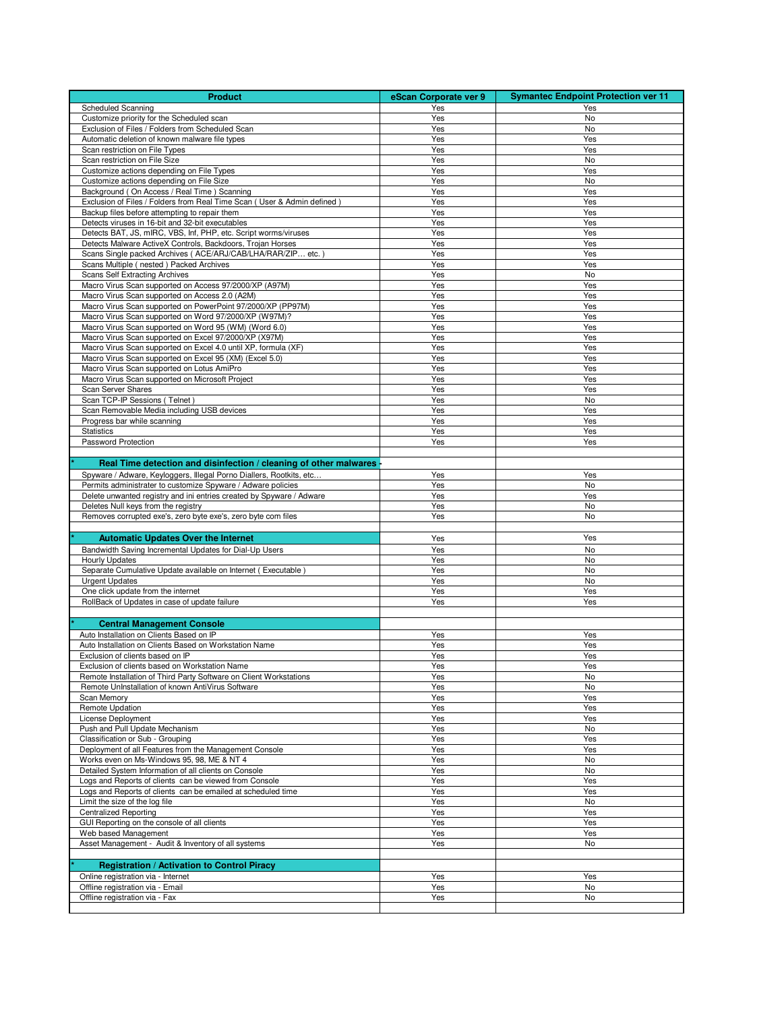| <b>Product</b>                                                                                                            | eScan Corporate ver 9 | <b>Symantec Endpoint Protection ver 11</b> |
|---------------------------------------------------------------------------------------------------------------------------|-----------------------|--------------------------------------------|
| <b>Scheduled Scanning</b>                                                                                                 | Yes                   | Yes                                        |
| Customize priority for the Scheduled scan                                                                                 | Yes                   | No                                         |
| Exclusion of Files / Folders from Scheduled Scan<br>Automatic deletion of known malware file types                        | Yes                   | No<br>Yes                                  |
| Scan restriction on File Types                                                                                            | Yes<br>Yes            | Yes                                        |
| Scan restriction on File Size                                                                                             | Yes                   | No                                         |
| Customize actions depending on File Types                                                                                 | Yes                   | Yes                                        |
| Customize actions depending on File Size                                                                                  | Yes                   | No                                         |
| Background (On Access / Real Time) Scanning                                                                               | Yes                   | Yes                                        |
| Exclusion of Files / Folders from Real Time Scan ( User & Admin defined )                                                 | Yes<br>Yes            | Yes<br>Yes                                 |
| Backup files before attempting to repair them<br>Detects viruses in 16-bit and 32-bit executables                         | Yes                   | Yes                                        |
| Detects BAT, JS, mIRC, VBS, Inf, PHP, etc. Script worms/viruses                                                           | Yes                   | Yes                                        |
| Detects Malware ActiveX Controls, Backdoors, Trojan Horses                                                                | Yes                   | Yes                                        |
| Scans Single packed Archives ( ACE/ARJ/CAB/LHA/RAR/ZIP etc.)                                                              | Yes                   | Yes                                        |
| Scans Multiple (nested) Packed Archives                                                                                   | Yes                   | Yes                                        |
| Scans Self Extracting Archives<br>Macro Virus Scan supported on Access 97/2000/XP (A97M)                                  | Yes<br>Yes            | No<br>Yes                                  |
| Macro Virus Scan supported on Access 2.0 (A2M)                                                                            | Yes                   | Yes                                        |
| Macro Virus Scan supported on PowerPoint 97/2000/XP (PP97M)                                                               | Yes                   | Yes                                        |
| Macro Virus Scan supported on Word 97/2000/XP (W97M)?                                                                     | Yes                   | Yes                                        |
| Macro Virus Scan supported on Word 95 (WM) (Word 6.0)                                                                     | Yes                   | Yes                                        |
| Macro Virus Scan supported on Excel 97/2000/XP (X97M)                                                                     | Yes                   | Yes                                        |
| Macro Virus Scan supported on Excel 4.0 until XP, formula (XF)<br>Macro Virus Scan supported on Excel 95 (XM) (Excel 5.0) | Yes<br>Yes            | Yes<br>Yes                                 |
| Macro Virus Scan supported on Lotus AmiPro                                                                                | Yes                   | Yes                                        |
| Macro Virus Scan supported on Microsoft Project                                                                           | Yes                   | Yes                                        |
| Scan Server Shares                                                                                                        | Yes                   | Yes                                        |
| Scan TCP-IP Sessions (Telnet)                                                                                             | Yes                   | No                                         |
| Scan Removable Media including USB devices                                                                                | Yes                   | Yes                                        |
| Progress bar while scanning                                                                                               | Yes                   | Yes                                        |
| <b>Statistics</b><br>Password Protection                                                                                  | Yes<br>Yes            | Yes<br>Yes                                 |
|                                                                                                                           |                       |                                            |
| Real Time detection and disinfection / cleaning of other malwares                                                         |                       |                                            |
| Spyware / Adware, Keyloggers, Illegal Porno Diallers, Rootkits, etc                                                       | Yes                   | Yes                                        |
| Permits administrater to customize Spyware / Adware policies                                                              | Yes                   | No                                         |
| Delete unwanted registry and ini entries created by Spyware / Adware                                                      | Yes                   | Yes                                        |
| Deletes Null keys from the registry                                                                                       | Yes                   | No                                         |
| Removes corrupted exe's, zero byte exe's, zero byte com files                                                             | Yes                   | No                                         |
| <b>Automatic Updates Over the Internet</b>                                                                                | Yes                   | Yes                                        |
| Bandwidth Saving Incremental Updates for Dial-Up Users                                                                    | Yes                   | No                                         |
| <b>Hourly Updates</b>                                                                                                     | Yes                   | No                                         |
| Separate Cumulative Update available on Internet (Executable)                                                             | Yes                   | No                                         |
| <b>Urgent Updates</b>                                                                                                     | Yes                   | No                                         |
| One click update from the internet<br>RollBack of Updates in case of update failure                                       | Yes<br>Yes            | Yes<br>Yes                                 |
|                                                                                                                           |                       |                                            |
| <b>Central Management Console</b>                                                                                         |                       |                                            |
| Auto Installation on Clients Based on IP                                                                                  | Yes                   | Yes                                        |
| Auto Installation on Clients Based on Workstation Name                                                                    | Yes                   | Yes                                        |
| Exclusion of clients based on IP                                                                                          | Yes                   | Yes                                        |
| Exclusion of clients based on Workstation Name                                                                            | Yes                   | Yes                                        |
| Remote Installation of Third Party Software on Client Workstations<br>Remote UnInstallation of known AntiVirus Software   | Yes                   | No<br>No                                   |
| Scan Memory                                                                                                               | Yes<br>Yes            | Yes                                        |
| Remote Updation                                                                                                           | Yes                   | Yes                                        |
| License Deployment                                                                                                        | Yes                   | Yes                                        |
| Push and Pull Update Mechanism                                                                                            | Yes                   | No                                         |
| Classification or Sub - Grouping                                                                                          | Yes                   | Yes                                        |
| Deployment of all Features from the Management Console<br>Works even on Ms-Windows 95, 98, ME & NT 4                      | Yes                   | Yes<br>No                                  |
| Detailed System Information of all clients on Console                                                                     | Yes<br>Yes            | No                                         |
| Logs and Reports of clients can be viewed from Console                                                                    | Yes                   | Yes                                        |
| Logs and Reports of clients can be emailed at scheduled time                                                              | Yes                   | Yes                                        |
| Limit the size of the log file                                                                                            | Yes                   | No                                         |
| <b>Centralized Reporting</b>                                                                                              | Yes                   | Yes                                        |
| GUI Reporting on the console of all clients                                                                               | Yes                   | Yes                                        |
| Web based Management<br>Asset Management - Audit & Inventory of all systems                                               | Yes<br>Yes            | Yes<br>No                                  |
|                                                                                                                           |                       |                                            |
| <b>Registration / Activation to Control Piracy</b>                                                                        |                       |                                            |
| Online registration via - Internet                                                                                        | Yes                   | Yes                                        |
| Offline registration via - Email                                                                                          | Yes                   | No                                         |
| Offline registration via - Fax                                                                                            | Yes                   | No                                         |
|                                                                                                                           |                       |                                            |